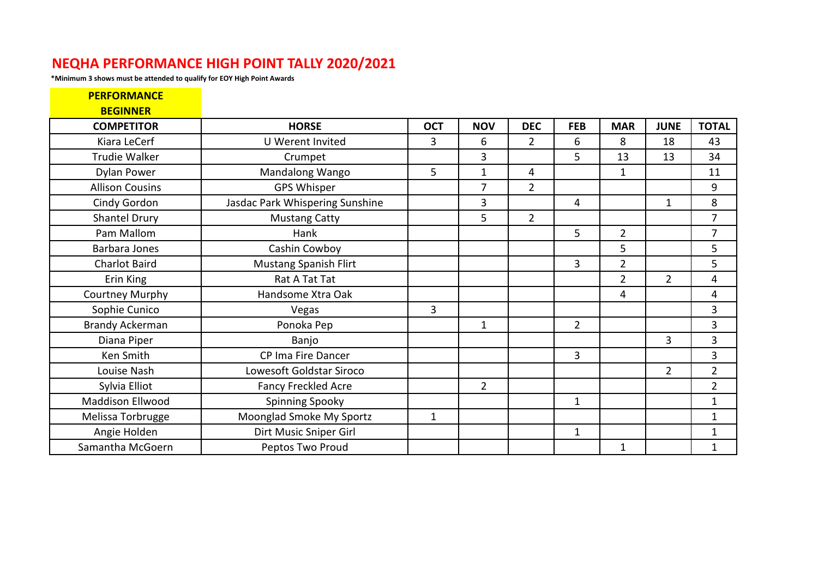## **NEQHA PERFORMANCE HIGH POINT TALLY 2020/2021**

**\*Minimum 3 shows must be attended to qualify for EOY High Point Awards**

| <b>PERFORMANCE</b>     |                                 |              |                |                |                |                |                |                |
|------------------------|---------------------------------|--------------|----------------|----------------|----------------|----------------|----------------|----------------|
| <b>BEGINNER</b>        |                                 |              |                |                |                |                |                |                |
| <b>COMPETITOR</b>      | <b>HORSE</b>                    | <b>OCT</b>   | <b>NOV</b>     | <b>DEC</b>     | <b>FEB</b>     | <b>MAR</b>     | <b>JUNE</b>    | <b>TOTAL</b>   |
| Kiara LeCerf           | <b>U</b> Werent Invited         | 3            | 6              | $\overline{2}$ | 6              | 8              | 18             | 43             |
| <b>Trudie Walker</b>   | Crumpet                         |              | 3              |                | 5              | 13             | 13             | 34             |
| <b>Dylan Power</b>     | Mandalong Wango                 | 5            | $\mathbf{1}$   | 4              |                | $\mathbf{1}$   |                | 11             |
| <b>Allison Cousins</b> | <b>GPS Whisper</b>              |              | 7              | $\overline{2}$ |                |                |                | 9              |
| Cindy Gordon           | Jasdac Park Whispering Sunshine |              | 3              |                | 4              |                | $\mathbf 1$    | 8              |
| <b>Shantel Drury</b>   | <b>Mustang Catty</b>            |              | 5              | $\overline{2}$ |                |                |                | $\overline{7}$ |
| Pam Mallom             | Hank                            |              |                |                | 5              | $\overline{2}$ |                | $\overline{7}$ |
| Barbara Jones          | Cashin Cowboy                   |              |                |                |                | 5              |                | 5              |
| <b>Charlot Baird</b>   | <b>Mustang Spanish Flirt</b>    |              |                |                | 3              | $\overline{2}$ |                | 5 <sup>5</sup> |
| Erin King              | Rat A Tat Tat                   |              |                |                |                | $\overline{2}$ | $\overline{2}$ | 4              |
| Courtney Murphy        | Handsome Xtra Oak               |              |                |                |                | 4              |                | $\overline{4}$ |
| Sophie Cunico          | Vegas                           | 3            |                |                |                |                |                | 3              |
| <b>Brandy Ackerman</b> | Ponoka Pep                      |              | $\mathbf 1$    |                | $\overline{2}$ |                |                | 3              |
| Diana Piper            | Banjo                           |              |                |                |                |                | 3              | 3              |
| Ken Smith              | CP Ima Fire Dancer              |              |                |                | 3              |                |                | 3              |
| Louise Nash            | Lowesoft Goldstar Siroco        |              |                |                |                |                | $\overline{2}$ | $\overline{2}$ |
| Sylvia Elliot          | <b>Fancy Freckled Acre</b>      |              | $\overline{2}$ |                |                |                |                | $\overline{2}$ |
| Maddison Ellwood       | <b>Spinning Spooky</b>          |              |                |                | $\mathbf 1$    |                |                | $\mathbf{1}$   |
| Melissa Torbrugge      | Moonglad Smoke My Sportz        | $\mathbf{1}$ |                |                |                |                |                | $\mathbf{1}$   |
| Angie Holden           | Dirt Music Sniper Girl          |              |                |                | $\mathbf 1$    |                |                | $\mathbf{1}$   |
| Samantha McGoern       | Peptos Two Proud                |              |                |                |                | $\mathbf{1}$   |                | $\mathbf{1}$   |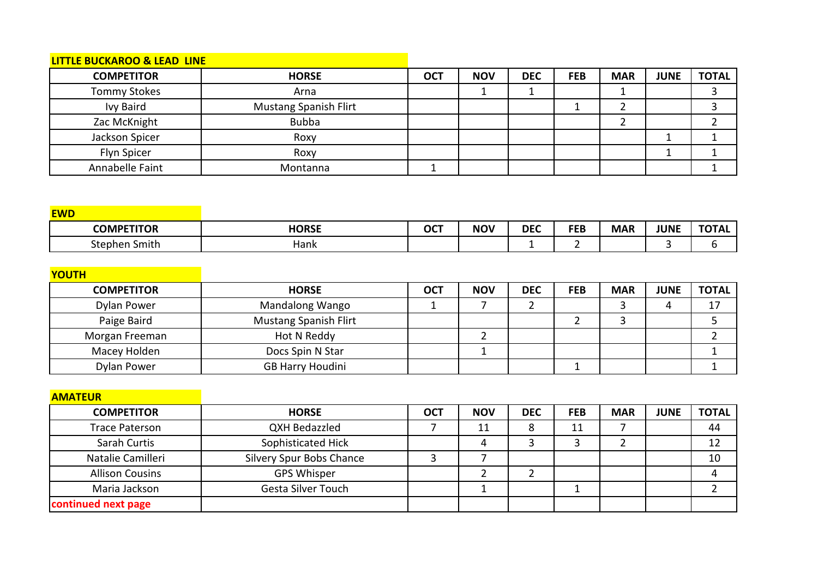## **LITTLE BUCKAROO & LEAD LINE**

| <b>COMPETITOR</b>   | <b>HORSE</b>                 | <b>OCT</b> | <b>NOV</b> | <b>DEC</b> | <b>FEB</b> | <b>MAR</b> | <b>JUNE</b> | <b>TOTAL</b> |
|---------------------|------------------------------|------------|------------|------------|------------|------------|-------------|--------------|
| <b>Tommy Stokes</b> | Arna                         |            |            |            |            |            |             |              |
| <b>Ivy Baird</b>    | <b>Mustang Spanish Flirt</b> |            |            |            |            |            |             |              |
| Zac McKnight        | <b>Bubba</b>                 |            |            |            |            |            |             |              |
| Jackson Spicer      | Roxy                         |            |            |            |            |            |             |              |
| Flyn Spicer         | Roxy                         |            |            |            |            |            |             |              |
| Annabelle Faint     | Montanna                     |            |            |            |            |            |             |              |

| <b>EWD</b>        |              |            |            |            |            |            |             |              |
|-------------------|--------------|------------|------------|------------|------------|------------|-------------|--------------|
| <b>COMPETITOR</b> | <b>HORSE</b> | <b>OCT</b> | <b>NOV</b> | <b>DEC</b> | <b>FEB</b> | <b>MAR</b> | <b>JUNE</b> | <b>TOTAL</b> |
| Stephen Smith     | Hank         |            |            |            |            |            |             |              |

| <b>YOUTH</b>      |                              |            |            |            |            |            |             |              |
|-------------------|------------------------------|------------|------------|------------|------------|------------|-------------|--------------|
| <b>COMPETITOR</b> | <b>HORSE</b>                 | <b>OCT</b> | <b>NOV</b> | <b>DEC</b> | <b>FEB</b> | <b>MAR</b> | <b>JUNE</b> | <b>TOTAL</b> |
| Dylan Power       | <b>Mandalong Wango</b>       |            |            |            |            |            |             |              |
| Paige Baird       | <b>Mustang Spanish Flirt</b> |            |            |            |            |            |             |              |
| Morgan Freeman    | Hot N Reddy                  |            |            |            |            |            |             |              |
| Macey Holden      | Docs Spin N Star             |            |            |            |            |            |             |              |
| Dylan Power       | <b>GB Harry Houdini</b>      |            |            |            |            |            |             |              |

| <b>AMATEUR</b>         |                          |            |            |            |            |            |             |              |
|------------------------|--------------------------|------------|------------|------------|------------|------------|-------------|--------------|
| <b>COMPETITOR</b>      | <b>HORSE</b>             | <b>OCT</b> | <b>NOV</b> | <b>DEC</b> | <b>FEB</b> | <b>MAR</b> | <b>JUNE</b> | <b>TOTAL</b> |
| <b>Trace Paterson</b>  | QXH Bedazzled            |            | 11         | 8          | 11         |            |             | 44           |
| Sarah Curtis           | Sophisticated Hick       |            |            |            |            |            |             | 12           |
| Natalie Camilleri      | Silvery Spur Bobs Chance |            |            |            |            |            |             | 10           |
| <b>Allison Cousins</b> | <b>GPS Whisper</b>       |            |            |            |            |            |             |              |
| Maria Jackson          | Gesta Silver Touch       |            |            |            |            |            |             |              |
| continued next page    |                          |            |            |            |            |            |             |              |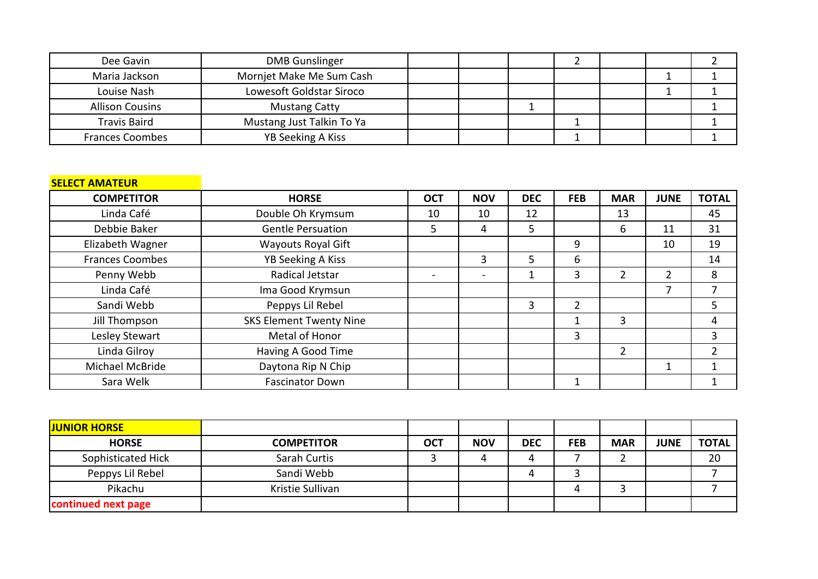| Dee Gavin              | <b>DMB</b> Gunslinger     |  |  |  |  |
|------------------------|---------------------------|--|--|--|--|
| Maria Jackson          | Mornjet Make Me Sum Cash  |  |  |  |  |
| Louise Nash            | Lowesoft Goldstar Siroco  |  |  |  |  |
| <b>Allison Cousins</b> | <b>Mustang Catty</b>      |  |  |  |  |
| <b>Travis Baird</b>    | Mustang Just Talkin To Ya |  |  |  |  |
| <b>Frances Coombes</b> | YB Seeking A Kiss         |  |  |  |  |

## **SELECT AMATEUR**

| <b>COMPETITOR</b>      | <b>HORSE</b>                   | <b>OCT</b> | <b>NOV</b>               | <b>DEC</b> | <b>FEB</b>     | <b>MAR</b> | <b>JUNE</b> | <b>TOTAL</b> |
|------------------------|--------------------------------|------------|--------------------------|------------|----------------|------------|-------------|--------------|
| Linda Café             | Double Oh Krymsum              | 10         | 10                       | 12         |                | 13         |             | 45           |
| Debbie Baker           | <b>Gentle Persuation</b>       | 5          | 4                        | 5          |                | 6          | 11          | 31           |
| Elizabeth Wagner       | <b>Wayouts Royal Gift</b>      |            |                          |            | 9              |            | 10          | 19           |
| <b>Frances Coombes</b> | <b>YB Seeking A Kiss</b>       |            | 3                        | 5          | 6              |            |             | 14           |
| Penny Webb             | Radical Jetstar                |            | $\overline{\phantom{0}}$ | 1          | 3              | 2          | 2           | 8            |
| Linda Café             | Ima Good Krymsun               |            |                          |            |                |            |             |              |
| Sandi Webb             | Peppys Lil Rebel               |            |                          | 3          | $\overline{2}$ |            |             | 5            |
| Jill Thompson          | <b>SKS Element Twenty Nine</b> |            |                          |            | 1              | 3          |             | 4            |
| Lesley Stewart         | Metal of Honor                 |            |                          |            | 3              |            |             | 3            |
| Linda Gilroy           | Having A Good Time             |            |                          |            |                | 2          |             | າ            |
| Michael McBride        | Daytona Rip N Chip             |            |                          |            |                |            |             |              |
| Sara Welk              | <b>Fascinator Down</b>         |            |                          |            |                |            |             |              |

| <b>JUNIOR HORSE</b> |                   |            |            |            |            |            |             |              |
|---------------------|-------------------|------------|------------|------------|------------|------------|-------------|--------------|
| <b>HORSE</b>        | <b>COMPETITOR</b> | <b>OCT</b> | <b>NOV</b> | <b>DEC</b> | <b>FEB</b> | <b>MAR</b> | <b>JUNE</b> | <b>TOTAL</b> |
| Sophisticated Hick  | Sarah Curtis      |            |            | 4          |            |            |             | 20           |
| Peppys Lil Rebel    | Sandi Webb        |            |            | 4          |            |            |             |              |
| Pikachu             | Kristie Sullivan  |            |            |            |            |            |             |              |
| continued next page |                   |            |            |            |            |            |             |              |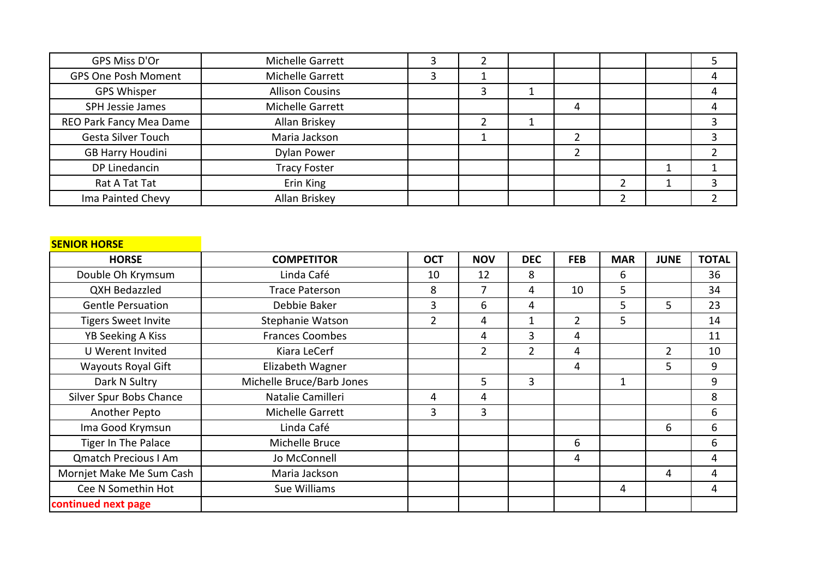| GPS Miss D'Or              | Michelle Garrett       |  |   |  |  |
|----------------------------|------------------------|--|---|--|--|
| <b>GPS One Posh Moment</b> | Michelle Garrett       |  |   |  |  |
| <b>GPS Whisper</b>         | <b>Allison Cousins</b> |  |   |  |  |
| SPH Jessie James           | Michelle Garrett       |  | 4 |  |  |
| REO Park Fancy Mea Dame    | Allan Briskey          |  |   |  |  |
| Gesta Silver Touch         | Maria Jackson          |  |   |  |  |
| <b>GB Harry Houdini</b>    | Dylan Power            |  |   |  |  |
| DP Linedancin              | <b>Tracy Foster</b>    |  |   |  |  |
| Rat A Tat Tat              | Erin King              |  |   |  |  |
| Ima Painted Chevy          | Allan Briskey          |  |   |  |  |

## **SENIOR HORSE**

| <b>HORSE</b>                | <b>COMPETITOR</b>         | <b>OCT</b>     | <b>NOV</b>     | <b>DEC</b>     | <b>FEB</b>     | <b>MAR</b>   | <b>JUNE</b>    | <b>TOTAL</b> |
|-----------------------------|---------------------------|----------------|----------------|----------------|----------------|--------------|----------------|--------------|
| Double Oh Krymsum           | Linda Café                | 10             | 12             | 8              |                | 6            |                | 36           |
| <b>QXH Bedazzled</b>        | <b>Trace Paterson</b>     | 8              | 7              | 4              | 10             | 5            |                | 34           |
| <b>Gentle Persuation</b>    | Debbie Baker              | 3              | 6              | 4              |                | 5            | 5              | 23           |
| <b>Tigers Sweet Invite</b>  | Stephanie Watson          | $\overline{2}$ | 4              | 1              | $\overline{2}$ | 5            |                | 14           |
| <b>YB Seeking A Kiss</b>    | <b>Frances Coombes</b>    |                | 4              | 3              | 4              |              |                | 11           |
| U Werent Invited            | Kiara LeCerf              |                | $\overline{2}$ | $\overline{2}$ | 4              |              | $\overline{2}$ | 10           |
| <b>Wayouts Royal Gift</b>   | Elizabeth Wagner          |                |                |                | 4              |              | 5              | 9            |
| Dark N Sultry               | Michelle Bruce/Barb Jones |                | 5              | 3              |                | $\mathbf{1}$ |                | 9            |
| Silver Spur Bobs Chance     | Natalie Camilleri         | 4              | 4              |                |                |              |                | 8            |
| Another Pepto               | Michelle Garrett          | 3              | 3              |                |                |              |                | 6            |
| Ima Good Krymsun            | Linda Café                |                |                |                |                |              | 6              | 6            |
| Tiger In The Palace         | Michelle Bruce            |                |                |                | 6              |              |                | 6            |
| <b>Qmatch Precious I Am</b> | Jo McConnell              |                |                |                | 4              |              |                | 4            |
| Mornjet Make Me Sum Cash    | Maria Jackson             |                |                |                |                |              | 4              | 4            |
| Cee N Somethin Hot          | Sue Williams              |                |                |                |                | 4            |                | 4            |
| continued next page         |                           |                |                |                |                |              |                |              |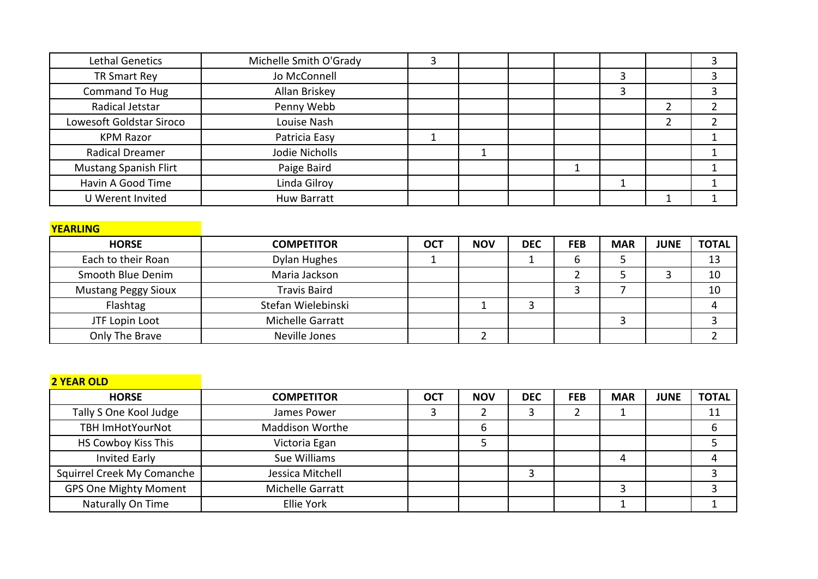| Lethal Genetics              | Michelle Smith O'Grady | 3 |  |   |        |  |
|------------------------------|------------------------|---|--|---|--------|--|
| TR Smart Rey                 | Jo McConnell           |   |  | 3 |        |  |
| Command To Hug               | Allan Briskey          |   |  | 3 |        |  |
| Radical Jetstar              | Penny Webb             |   |  |   |        |  |
| Lowesoft Goldstar Siroco     | Louise Nash            |   |  |   | ำ<br>∠ |  |
| <b>KPM Razor</b>             | Patricia Easy          |   |  |   |        |  |
| <b>Radical Dreamer</b>       | Jodie Nicholls         |   |  |   |        |  |
| <b>Mustang Spanish Flirt</b> | Paige Baird            |   |  |   |        |  |
| Havin A Good Time            | Linda Gilroy           |   |  |   |        |  |
| U Werent Invited             | <b>Huw Barratt</b>     |   |  |   |        |  |

| <b>YEARLING</b>            |                     |            |            |            |            |            |             |              |
|----------------------------|---------------------|------------|------------|------------|------------|------------|-------------|--------------|
| <b>HORSE</b>               | <b>COMPETITOR</b>   | <b>OCT</b> | <b>NOV</b> | <b>DEC</b> | <b>FEB</b> | <b>MAR</b> | <b>JUNE</b> | <b>TOTAL</b> |
| Each to their Roan         | Dylan Hughes        |            |            |            |            |            |             | 13           |
| Smooth Blue Denim          | Maria Jackson       |            |            |            |            |            |             | 10           |
| <b>Mustang Peggy Sioux</b> | <b>Travis Baird</b> |            |            |            |            |            |             | 10           |
| Flashtag                   | Stefan Wielebinski  |            |            |            |            |            |             |              |
| JTF Lopin Loot             | Michelle Garratt    |            |            |            |            |            |             |              |
| Only The Brave             | Neville Jones       |            |            |            |            |            |             |              |

| <b>2 YEAR OLD</b>            |                        |            |            |            |            |            |             |              |
|------------------------------|------------------------|------------|------------|------------|------------|------------|-------------|--------------|
| <b>HORSE</b>                 | <b>COMPETITOR</b>      | <b>OCT</b> | <b>NOV</b> | <b>DEC</b> | <b>FEB</b> | <b>MAR</b> | <b>JUNE</b> | <b>TOTAL</b> |
| Tally S One Kool Judge       | James Power            |            |            |            |            |            |             | 11           |
| <b>TBH ImHotYourNot</b>      | <b>Maddison Worthe</b> |            | 6          |            |            |            |             | b            |
| HS Cowboy Kiss This          | Victoria Egan          |            |            |            |            |            |             |              |
| <b>Invited Early</b>         | Sue Williams           |            |            |            |            | 4          |             |              |
| Squirrel Creek My Comanche   | Jessica Mitchell       |            |            | э          |            |            |             |              |
| <b>GPS One Mighty Moment</b> | Michelle Garratt       |            |            |            |            |            |             |              |
| Naturally On Time            | Ellie York             |            |            |            |            |            |             |              |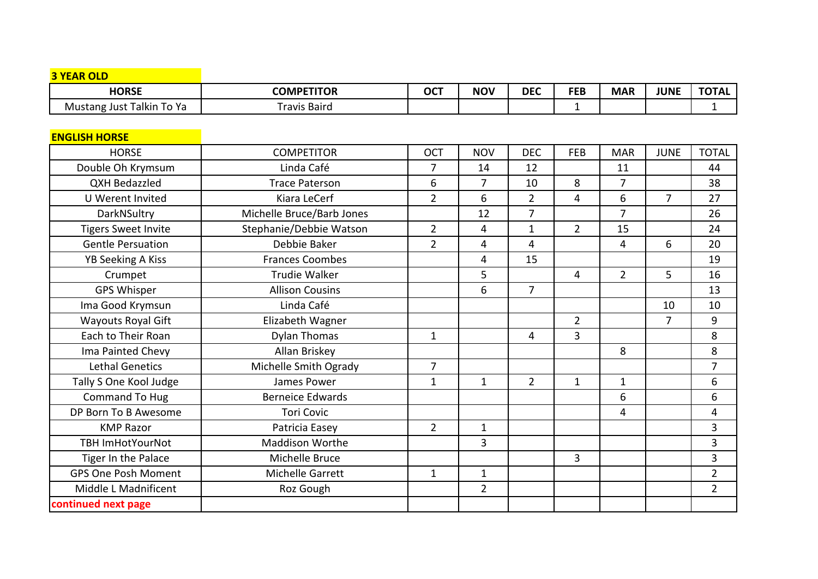| <b>3 YEAR OLD</b>          |                           |                |                |                |                |                |                |                |
|----------------------------|---------------------------|----------------|----------------|----------------|----------------|----------------|----------------|----------------|
| <b>HORSE</b>               | <b>COMPETITOR</b>         | <b>OCT</b>     | <b>NOV</b>     | <b>DEC</b>     | <b>FEB</b>     | <b>MAR</b>     | <b>JUNE</b>    | <b>TOTAL</b>   |
| Mustang Just Talkin To Ya  | <b>Travis Baird</b>       |                |                |                | $\mathbf{1}$   |                |                | 1              |
|                            |                           |                |                |                |                |                |                |                |
| <b>ENGLISH HORSE</b>       |                           |                |                |                |                |                |                |                |
| <b>HORSE</b>               | <b>COMPETITOR</b>         | <b>OCT</b>     | <b>NOV</b>     | <b>DEC</b>     | <b>FEB</b>     | <b>MAR</b>     | <b>JUNE</b>    | <b>TOTAL</b>   |
| Double Oh Krymsum          | Linda Café                | 7              | 14             | 12             |                | 11             |                | 44             |
| <b>QXH Bedazzled</b>       | <b>Trace Paterson</b>     | 6              | $\overline{7}$ | 10             | 8              | $\overline{7}$ |                | 38             |
| U Werent Invited           | Kiara LeCerf              | $\overline{2}$ | 6              | $\overline{2}$ | 4              | 6              | $\overline{7}$ | 27             |
| DarkNSultry                | Michelle Bruce/Barb Jones |                | 12             | $\overline{7}$ |                | $\overline{7}$ |                | 26             |
| <b>Tigers Sweet Invite</b> | Stephanie/Debbie Watson   | $\overline{2}$ | 4              | $\mathbf{1}$   | $2^{\circ}$    | 15             |                | 24             |
| <b>Gentle Persuation</b>   | Debbie Baker              | $\overline{2}$ | 4              | 4              |                | 4              | 6              | 20             |
| YB Seeking A Kiss          | <b>Frances Coombes</b>    |                | 4              | 15             |                |                |                | 19             |
| Crumpet                    | <b>Trudie Walker</b>      |                | 5              |                | $\overline{4}$ | $\overline{2}$ | 5              | 16             |
| <b>GPS Whisper</b>         | <b>Allison Cousins</b>    |                | 6              | $\overline{7}$ |                |                |                | 13             |
| Ima Good Krymsun           | Linda Café                |                |                |                |                |                | 10             | 10             |
| <b>Wayouts Royal Gift</b>  | Elizabeth Wagner          |                |                |                | $\overline{2}$ |                | $\overline{7}$ | 9              |
| Each to Their Roan         | <b>Dylan Thomas</b>       | $\mathbf{1}$   |                | 4              | $\overline{3}$ |                |                | 8              |
| Ima Painted Chevy          | Allan Briskey             |                |                |                |                | 8              |                | 8              |
| <b>Lethal Genetics</b>     | Michelle Smith Ogrady     | $\overline{7}$ |                |                |                |                |                | $\overline{7}$ |
| Tally S One Kool Judge     | James Power               | $\mathbf{1}$   | $\mathbf{1}$   | $\overline{2}$ | $\mathbf{1}$   | $\mathbf{1}$   |                | 6              |
| <b>Command To Hug</b>      | <b>Berneice Edwards</b>   |                |                |                |                | 6              |                | 6              |
| DP Born To B Awesome       | <b>Tori Covic</b>         |                |                |                |                | $\overline{4}$ |                | 4              |
| <b>KMP Razor</b>           | Patricia Easey            | $\overline{2}$ | $\mathbf 1$    |                |                |                |                | 3              |
| <b>TBH ImHotYourNot</b>    | <b>Maddison Worthe</b>    |                | 3              |                |                |                |                | 3              |
| Tiger In the Palace        | Michelle Bruce            |                |                |                | $\overline{3}$ |                |                | 3              |
| <b>GPS One Posh Moment</b> | Michelle Garrett          | $\mathbf{1}$   | $\mathbf{1}$   |                |                |                |                | $\overline{2}$ |
| Middle L Madnificent       | Roz Gough                 |                | $\overline{2}$ |                |                |                |                | $\overline{2}$ |
| continued next page        |                           |                |                |                |                |                |                |                |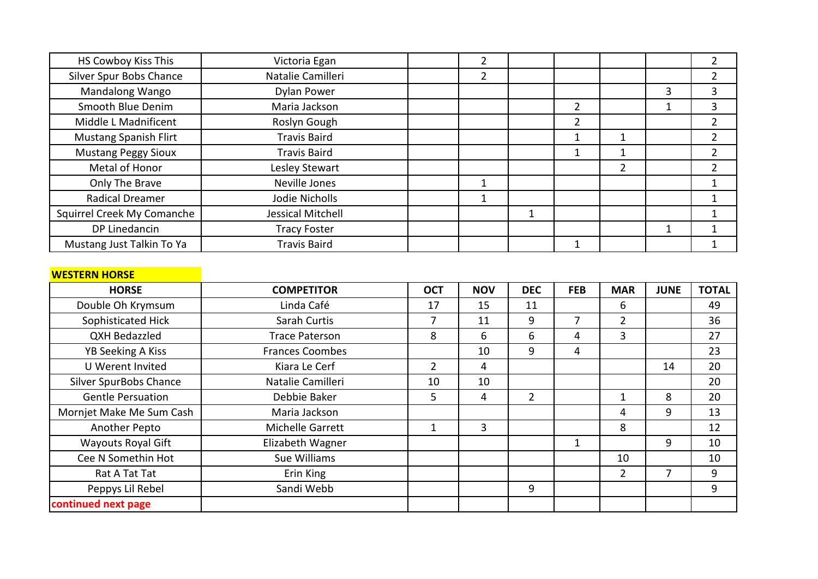| HS Cowboy Kiss This          | Victoria Egan            |  |                |   |   |  |
|------------------------------|--------------------------|--|----------------|---|---|--|
| Silver Spur Bobs Chance      | Natalie Camilleri        |  |                |   |   |  |
| Mandalong Wango              | Dylan Power              |  |                |   | 3 |  |
| Smooth Blue Denim            | Maria Jackson            |  | $\overline{2}$ |   |   |  |
| Middle L Madnificent         | Roslyn Gough             |  | 2              |   |   |  |
| <b>Mustang Spanish Flirt</b> | <b>Travis Baird</b>      |  |                |   |   |  |
| <b>Mustang Peggy Sioux</b>   | <b>Travis Baird</b>      |  |                |   |   |  |
| Metal of Honor               | Lesley Stewart           |  |                | 2 |   |  |
| Only The Brave               | Neville Jones            |  |                |   |   |  |
| <b>Radical Dreamer</b>       | Jodie Nicholls           |  |                |   |   |  |
| Squirrel Creek My Comanche   | <b>Jessical Mitchell</b> |  |                |   |   |  |
| DP Linedancin                | <b>Tracy Foster</b>      |  |                |   |   |  |
| Mustang Just Talkin To Ya    | <b>Travis Baird</b>      |  |                |   |   |  |

|--|

| <b>HORSE</b>              | <b>COMPETITOR</b>       | <b>OCT</b>     | <b>NOV</b> | <b>DEC</b>     | <b>FEB</b> | <b>MAR</b>     | <b>JUNE</b> | <b>TOTAL</b> |
|---------------------------|-------------------------|----------------|------------|----------------|------------|----------------|-------------|--------------|
| Double Oh Krymsum         | Linda Café              | 17             | 15         | 11             |            | 6              |             | 49           |
| Sophisticated Hick        | Sarah Curtis            | 7              | 11         | 9              | 7          | $\overline{2}$ |             | 36           |
| QXH Bedazzled             | <b>Trace Paterson</b>   | 8              | 6          | 6              | 4          | 3              |             | 27           |
| <b>YB Seeking A Kiss</b>  | Frances Coombes         |                | 10         | 9              | 4          |                |             | 23           |
| U Werent Invited          | Kiara Le Cerf           | $\overline{2}$ | 4          |                |            |                | 14          | 20           |
| Silver SpurBobs Chance    | Natalie Camilleri       | 10             | 10         |                |            |                |             | 20           |
| <b>Gentle Persuation</b>  | Debbie Baker            | 5              | 4          | $\overline{2}$ |            |                | 8           | 20           |
| Mornjet Make Me Sum Cash  | Maria Jackson           |                |            |                |            | 4              | 9           | 13           |
| Another Pepto             | <b>Michelle Garrett</b> |                | 3          |                |            | 8              |             | 12           |
| <b>Wayouts Royal Gift</b> | Elizabeth Wagner        |                |            |                | 1          |                | 9           | 10           |
| Cee N Somethin Hot        | Sue Williams            |                |            |                |            | 10             |             | 10           |
| Rat A Tat Tat             | Erin King               |                |            |                |            | $\overline{2}$ |             | 9            |
| Peppys Lil Rebel          | Sandi Webb              |                |            | 9              |            |                |             | 9            |
| continued next page       |                         |                |            |                |            |                |             |              |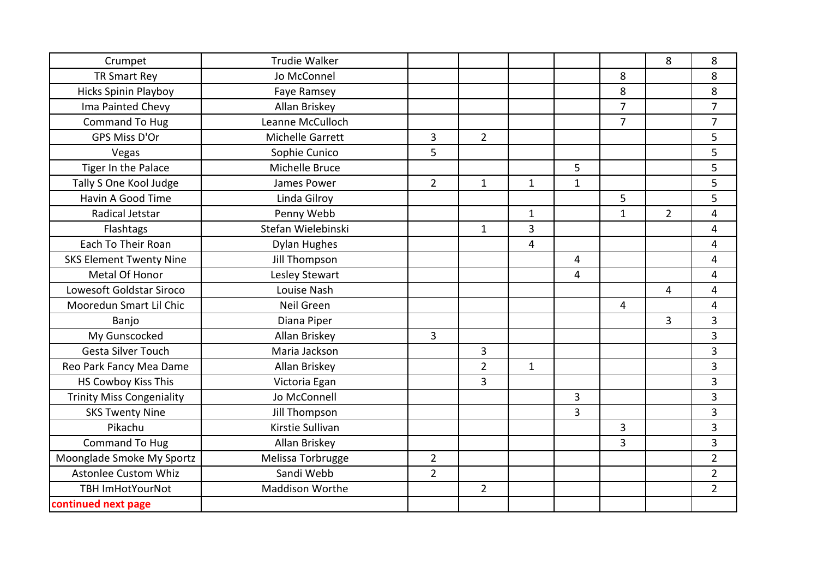| Crumpet                          | <b>Trudie Walker</b> |                |                |              |                |                | 8              | 8              |
|----------------------------------|----------------------|----------------|----------------|--------------|----------------|----------------|----------------|----------------|
| <b>TR Smart Rey</b>              | Jo McConnel          |                |                |              |                | 8              |                | 8              |
| <b>Hicks Spinin Playboy</b>      | Faye Ramsey          |                |                |              |                | 8              |                | 8              |
| Ima Painted Chevy                | Allan Briskey        |                |                |              |                | $\overline{7}$ |                | $\overline{7}$ |
| Command To Hug                   | Leanne McCulloch     |                |                |              |                | $\overline{7}$ |                | $\overline{7}$ |
| GPS Miss D'Or                    | Michelle Garrett     | 3              | $\overline{2}$ |              |                |                |                | 5              |
| Vegas                            | Sophie Cunico        | 5              |                |              |                |                |                | 5              |
| Tiger In the Palace              | Michelle Bruce       |                |                |              | 5              |                |                | 5              |
| Tally S One Kool Judge           | James Power          | $\overline{2}$ | $\mathbf{1}$   | $\mathbf{1}$ | $\mathbf 1$    |                |                | 5              |
| Havin A Good Time                | Linda Gilroy         |                |                |              |                | 5              |                | 5              |
| Radical Jetstar                  | Penny Webb           |                |                | $\mathbf{1}$ |                | $\mathbf{1}$   | $\overline{2}$ | 4              |
| Flashtags                        | Stefan Wielebinski   |                | $\mathbf{1}$   | 3            |                |                |                | 4              |
| Each To Their Roan               | <b>Dylan Hughes</b>  |                |                | 4            |                |                |                | 4              |
| <b>SKS Element Twenty Nine</b>   | <b>Jill Thompson</b> |                |                |              | 4              |                |                | 4              |
| Metal Of Honor                   | Lesley Stewart       |                |                |              | 4              |                |                | 4              |
| Lowesoft Goldstar Siroco         | Louise Nash          |                |                |              |                |                | 4              | 4              |
| Mooredun Smart Lil Chic          | Neil Green           |                |                |              |                | 4              |                | 4              |
| Banjo                            | Diana Piper          |                |                |              |                |                | $\overline{3}$ | $\overline{3}$ |
| My Gunscocked                    | Allan Briskey        | $\overline{3}$ |                |              |                |                |                | 3              |
| Gesta Silver Touch               | Maria Jackson        |                | 3              |              |                |                |                | 3              |
| Reo Park Fancy Mea Dame          | Allan Briskey        |                | $\overline{2}$ | $\mathbf{1}$ |                |                |                | 3              |
| HS Cowboy Kiss This              | Victoria Egan        |                | $\overline{3}$ |              |                |                |                | 3              |
| <b>Trinity Miss Congeniality</b> | Jo McConnell         |                |                |              | 3              |                |                | 3              |
| <b>SKS Twenty Nine</b>           | <b>Jill Thompson</b> |                |                |              | $\overline{3}$ |                |                | 3              |
| Pikachu                          | Kirstie Sullivan     |                |                |              |                | 3              |                | 3              |
| <b>Command To Hug</b>            | Allan Briskey        |                |                |              |                | 3              |                | 3              |
| Moonglade Smoke My Sportz        | Melissa Torbrugge    | $\overline{2}$ |                |              |                |                |                | $\overline{2}$ |
| <b>Astonlee Custom Whiz</b>      | Sandi Webb           | $\overline{2}$ |                |              |                |                |                | $\overline{2}$ |
| <b>TBH ImHotYourNot</b>          | Maddison Worthe      |                | $\overline{2}$ |              |                |                |                | $\overline{2}$ |
| continued next page              |                      |                |                |              |                |                |                |                |